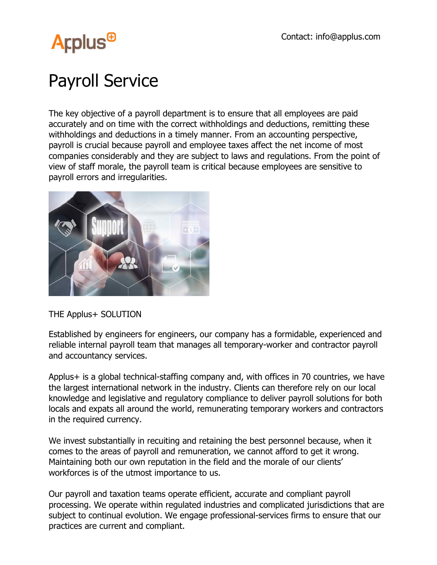

## Payroll Service

The key objective of a payroll department is to ensure that all employees are paid accurately and on time with the correct withholdings and deductions, remitting these withholdings and deductions in a timely manner. From an accounting perspective, payroll is crucial because payroll and employee taxes affect the net income of most companies considerably and they are subject to laws and regulations. From the point of view of staff morale, the payroll team is critical because employees are sensitive to payroll errors and irregularities.



THE Applus+ SOLUTION

Established by engineers for engineers, our company has a formidable, experienced and reliable internal payroll team that manages all temporary-worker and contractor payroll and accountancy services.

Applus+ is a global technical-staffing company and, with offices in 70 countries, we have the largest international network in the industry. Clients can therefore rely on our local knowledge and legislative and regulatory compliance to deliver payroll solutions for both locals and expats all around the world, remunerating temporary workers and contractors in the required currency.

We invest substantially in recuiting and retaining the best personnel because, when it comes to the areas of payroll and remuneration, we cannot afford to get it wrong. Maintaining both our own reputation in the field and the morale of our clients' workforces is of the utmost importance to us.

Our payroll and taxation teams operate efficient, accurate and compliant payroll processing. We operate within regulated industries and complicated jurisdictions that are subject to continual evolution. We engage professional-services firms to ensure that our practices are current and compliant.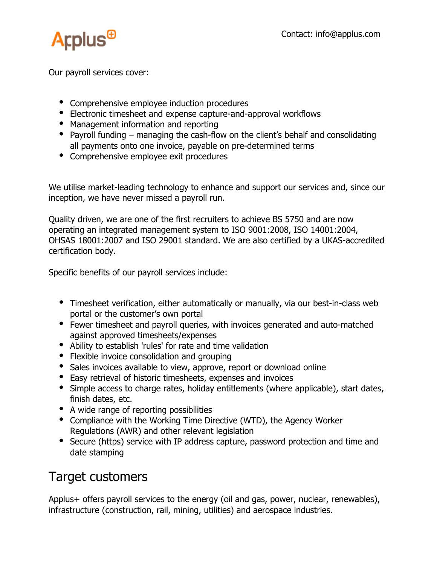

Our payroll services cover:

- Comprehensive employee induction procedures
- Electronic timesheet and expense capture-and-approval workflows
- Management information and reporting
- Payroll funding managing the cash-flow on the client's behalf and consolidating all payments onto one invoice, payable on pre-determined terms
- Comprehensive employee exit procedures

We utilise market-leading technology to enhance and support our services and, since our inception, we have never missed a payroll run.

Quality driven, we are one of the first recruiters to achieve BS 5750 and are now operating an integrated management system to ISO 9001:2008, ISO 14001:2004, OHSAS 18001:2007 and ISO 29001 standard. We are also certified by a UKAS-accredited certification body.

Specific benefits of our payroll services include:

- Timesheet verification, either automatically or manually, via our best-in-class web portal or the customer's own portal
- Fewer timesheet and payroll queries, with invoices generated and auto-matched against approved timesheets/expenses
- Ability to establish 'rules' for rate and time validation
- Flexible invoice consolidation and grouping
- Sales invoices available to view, approve, report or download online
- Easy retrieval of historic timesheets, expenses and invoices
- Simple access to charge rates, holiday entitlements (where applicable), start dates, finish dates, etc.
- A wide range of reporting possibilities
- Compliance with the Working Time Directive (WTD), the Agency Worker Regulations (AWR) and other relevant legislation
- Secure (https) service with IP address capture, password protection and time and date stamping

## Target customers

Applus+ offers payroll services to the energy (oil and gas, power, nuclear, renewables), infrastructure (construction, rail, mining, utilities) and aerospace industries.